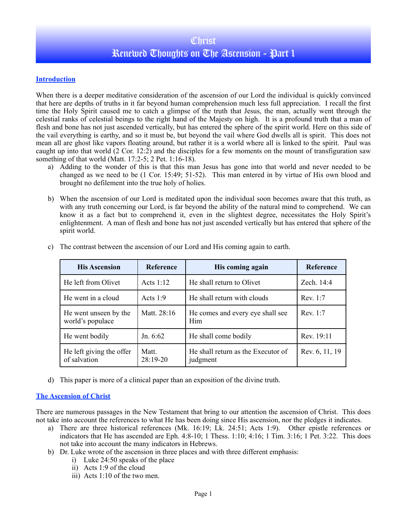## **Christ** Renewed Thoughts on The Ascension - Part 1

### **Introduction**

When there is a deeper meditative consideration of the ascension of our Lord the individual is quickly convinced that here are depths of truths in it far beyond human comprehension much less full appreciation. I recall the first time the Holy Spirit caused me to catch a glimpse of the truth that Jesus, the man, actually went through the celestial ranks of celestial beings to the right hand of the Majesty on high. It is a profound truth that a man of flesh and bone has not just ascended vertically, but has entered the sphere of the spirit world. Here on this side of the vail everything is earthy, and so it must be, but beyond the vail where God dwells all is spirit. This does not mean all are ghost like vapors floating around, but rather it is a world where all is linked to the spirit. Paul was caught up into that world (2 Cor. 12:2) and the disciples for a few moments on the mount of transfiguration saw something of that world (Matt. 17:2-5; 2 Pet. 1:16-18).

- a) Adding to the wonder of this is that this man Jesus has gone into that world and never needed to be changed as we need to be (1 Cor. 15:49; 51-52). This man entered in by virtue of His own blood and brought no defilement into the true holy of holies.
- b) When the ascension of our Lord is meditated upon the individual soon becomes aware that this truth, as with any truth concerning our Lord, is far beyond the ability of the natural mind to comprehend. We can know it as a fact but to comprehend it, even in the slightest degree, necessitates the Holy Spirit's enlightenment. A man of flesh and bone has not just ascended vertically but has entered that sphere of the spirit world.

| <b>His Ascension</b>                      | Reference           | His coming again                               | <b>Reference</b> |
|-------------------------------------------|---------------------|------------------------------------------------|------------------|
| He left from Olivet                       | Acts $1:12$         | He shall return to Olivet                      | Zech. 14:4       |
| He went in a cloud                        | Acts $1:9$          | He shall return with clouds                    | Rev. 1:7         |
| He went unseen by the<br>world's populace | Matt. 28:16         | He comes and every eye shall see<br>Him        | Rev 1.7          |
| He went bodily                            | Jn. $6:62$          | He shall come bodily                           | Rev. 19:11       |
| He left giving the offer<br>of salvation  | Matt.<br>$28:19-20$ | He shall return as the Executor of<br>judgment | Rev. 6, 11, 19   |

c) The contrast between the ascension of our Lord and His coming again to earth.

d) This paper is more of a clinical paper than an exposition of the divine truth.

### **The Ascension of Christ**

There are numerous passages in the New Testament that bring to our attention the ascension of Christ. This does not take into account the references to what He has been doing since His ascension, nor the pledges it indicates.

- a) There are three historical references (Mk. 16:19; Lk. 24:51; Acts 1:9). Other epistle references or indicators that He has ascended are Eph. 4:8-10; 1 Thess. 1:10; 4:16; 1 Tim. 3:16; 1 Pet. 3:22. This does not take into account the many indicators in Hebrews.
- b) Dr. Luke wrote of the ascension in three places and with three different emphasis:
	- i) Luke 24:50 speaks of the place
	- ii) Acts 1:9 of the cloud
	- iii) Acts 1:10 of the two men.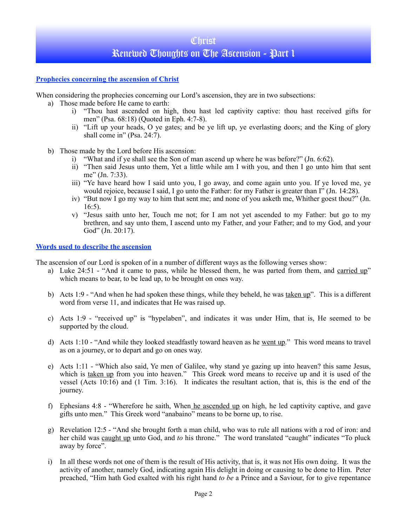# **Christ** Renewed Thoughts on The Ascension - Part 1

#### **Prophecies concerning the ascension of Christ**

When considering the prophecies concerning our Lord's ascension, they are in two subsections:

- a) Those made before He came to earth:
	- i) "Thou hast ascended on high, thou hast led captivity captive: thou hast received gifts for men" (Psa. 68:18) (Quoted in Eph. 4:7-8).
	- ii) "Lift up your heads, O ye gates; and be ye lift up, ye everlasting doors; and the King of glory shall come in" (Psa. 24:7).
- b) Those made by the Lord before His ascension:
	- i) "What and if ye shall see the Son of man ascend up where he was before?" (Jn. 6:62).
	- ii) "Then said Jesus unto them, Yet a little while am I with you, and then I go unto him that sent me" (Jn. 7:33).
	- iii) "Ye have heard how I said unto you, I go away, and come again unto you. If ye loved me, ye would rejoice, because I said, I go unto the Father: for my Father is greater than I'' (Jn. 14:28).
	- iv) "But now I go my way to him that sent me; and none of you asketh me, Whither goest thou?" (Jn. 16:5).
	- v) "Jesus saith unto her, Touch me not; for I am not yet ascended to my Father: but go to my brethren, and say unto them, I ascend unto my Father, and your Father; and to my God, and your God" (Jn. 20:17).

#### **Words used to describe the ascension**

The ascension of our Lord is spoken of in a number of different ways as the following verses show:

- a) Luke 24:51 "And it came to pass, while he blessed them, he was parted from them, and carried up" which means to bear, to be lead up, to be brought on ones way.
- b) Acts 1:9 "And when he had spoken these things, while they beheld, he was taken up". This is a different word from verse 11, and indicates that He was raised up.
- c) Acts 1:9 "received up" is "hypelaben", and indicates it was under Him, that is, He seemed to be supported by the cloud.
- d) Acts 1:10 "And while they looked steadfastly toward heaven as he went up." This word means to travel as on a journey, or to depart and go on ones way.
- e) Acts 1:11 "Which also said, Ye men of Galilee, why stand ye gazing up into heaven? this same Jesus, which is taken up from you into heaven." This Greek word means to receive up and it is used of the vessel (Acts 10:16) and (1 Tim. 3:16). It indicates the resultant action, that is, this is the end of the journey.
- f) Ephesians 4:8 "Wherefore he saith, When he ascended up on high, he led captivity captive, and gave gifts unto men." This Greek word "anabaino" means to be borne up, to rise.
- g) Revelation 12:5 "And she brought forth a man child, who was to rule all nations with a rod of iron: and her child was caught up unto God, and *to* his throne." The word translated "caught" indicates "To pluck away by force".
- i) In all these words not one of them is the result of His activity, that is, it was not His own doing. It was the activity of another, namely God, indicating again His delight in doing or causing to be done to Him. Peter preached, "Him hath God exalted with his right hand *to be* a Prince and a Saviour, for to give repentance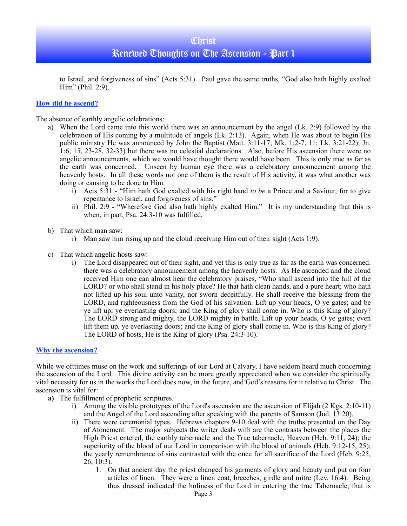### Renewed Thoughts on The Ascension - Part 1

to Israel, and forgiveness of sins" (Acts 5:31). Paul gave the same truths, "God also hath highly exalted Him" (Phil. 2:9).

#### **How did he ascend?**

The absence of earthly angelic celebrations:

- a) When the Lord came into this world there was an announcement by the angel (Lk. 2:9) followed by the celebration of His coming by a multitude of angels (Lk. 2:13). Again, when He was about to begin His public ministry He was announced by John the Baptist (Matt. 3:11-17; Mk. 1:2-7, 11; Lk. 3:21-22); Jn. 1:6, 15, 23-28, 32-33) but there was no celestial declarations. Also, before His ascension there were no angelic announcements, which we would have thought there would have been. This is only true as far as the earth was concerned. Unseen by human eye there was a celebratory announcement among the heavenly hosts. In all these words not one of them is the result of His activity, it was what another was doing or causing to be done to Him.
	- i) Acts 5:31 "Him hath God exalted with his right hand *to be* a Prince and a Saviour, for to give repentance to Israel, and forgiveness of sins."
	- ii) Phil. 2:9 "Wherefore God also hath highly exalted Him." It is my understanding that this is when, in part, Psa. 24:3-10 was fulfilled.
- b) That which man saw:
	- i) Man saw him rising up and the cloud receiving Him out of their sight (Acts 1:9).
- c) That which angelic hosts saw:
	- i) The Lord disappeared out of their sight, and yet this is only true as far as the earth was concerned. there was a celebratory announcement among the heavenly hosts. As He ascended and the cloud received Him one can almost hear the celebratory praises, "Who shall ascend into the hill of the LORD? or who shall stand in his holy place? He that hath clean hands, and a pure heart; who hath not lifted up his soul unto vanity, nor sworn deceitfully. He shall receive the blessing from the LORD, and righteousness from the God of his salvation. Lift up your heads, O ye gates; and be ye lift up, ye everlasting doors; and the King of glory shall come in. Who is this King of glory? The LORD strong and mighty, the LORD mighty in battle. Lift up your heads, O ye gates; even lift them up, ye everlasting doors; and the King of glory shall come in. Who is this King of glory? The LORD of hosts, He is the King of glory (Psa. 24:3-10).

#### **Why the ascension?**

While we ofttimes muse on the work and sufferings of our Lord at Calvary, I have seldom heard much concerning the ascension of the Lord. This divine activity can be more greatly appreciated when we consider the spiritually vital necessity for us in the works the Lord does now, in the future, and God's reasons for it relative to Christ. The ascension is vital for:

- **a)** The fulfillment of prophetic scriptures.
	- i) Among the visible prototypes of the Lord's ascension are the ascension of Elijah (2 Kgs. 2:10-11) and the Angel of the Lord ascending after speaking with the parents of Samson (Jud. 13:20).
	- ii) There were ceremonial types. Hebrews chapters 9-10 deal with the truths presented on the Day of Atonement. The major subjects the writer deals with are the contrasts between the places the High Priest entered, the earthly tabernacle and the True tabernacle, Heaven (Heb. 9:11, 24); the superiority of the blood of our Lord in comparison with the blood of animals (Heb. 9:12-15, 25); the yearly remembrance of sins contrasted with the once for all sacrifice of the Lord (Heb. 9:25, 26; 10:3).
		- 1. On that ancient day the priest changed his garments of glory and beauty and put on four articles of linen. They were a linen coat, breeches, girdle and mitre (Lev. 16:4). Being thus dressed indicated the holiness of the Lord in entering the true Tabernacle, that is